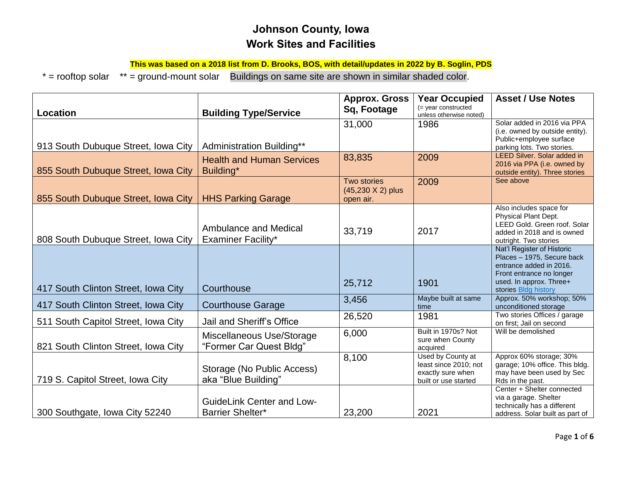## **Johnson County, Iowa Work Sites and Facilities**

**This was based on a 2018 list from D. Brooks, BOS, with detail/updates in 2022 by B. Soglin, PDS**

\* = rooftop solar \*\* = ground-mount solar Buildings on same site are shown in similar shaded color.

|                                     |                                  | <b>Approx. Gross</b> | <b>Year Occupied</b>                              | <b>Asset / Use Notes</b>                                       |
|-------------------------------------|----------------------------------|----------------------|---------------------------------------------------|----------------------------------------------------------------|
| <b>Location</b>                     | <b>Building Type/Service</b>     | Sq, Footage          | $($ = year constructed<br>unless otherwise noted) |                                                                |
|                                     |                                  | 31,000               | 1986                                              | Solar added in 2016 via PPA                                    |
|                                     |                                  |                      |                                                   | (i.e. owned by outside entity).<br>Public+employee surface     |
| 913 South Dubuque Street, Iowa City | Administration Building**        |                      |                                                   | parking lots. Two stories.                                     |
|                                     | <b>Health and Human Services</b> | 83,835               | 2009                                              | <b>LEED Silver. Solar added in</b>                             |
| 855 South Dubuque Street, Iowa City | Building*                        |                      |                                                   | 2016 via PPA (i.e. owned by<br>outside entity). Three stories  |
|                                     |                                  | Two stories          | 2009                                              | See above                                                      |
|                                     |                                  | (45,230 X 2) plus    |                                                   |                                                                |
| 855 South Dubuque Street, Iowa City | <b>HHS Parking Garage</b>        | open air.            |                                                   |                                                                |
|                                     |                                  |                      |                                                   | Also includes space for<br>Physical Plant Dept.                |
|                                     | <b>Ambulance and Medical</b>     |                      |                                                   | LEED Gold. Green roof. Solar                                   |
| 808 South Dubuque Street, Iowa City | <b>Examiner Facility*</b>        | 33,719               | 2017                                              | added in 2018 and is owned                                     |
|                                     |                                  |                      |                                                   | outright. Two stories<br>Nat'l Register of Historic            |
|                                     |                                  |                      |                                                   | Places - 1975, Secure back                                     |
|                                     |                                  |                      |                                                   | entrance added in 2016.                                        |
|                                     |                                  | 25,712               | 1901                                              | Front entrance no longer<br>used. In approx. Three+            |
| 417 South Clinton Street, Iowa City | Courthouse                       |                      |                                                   | stories Bldg history                                           |
| 417 South Clinton Street, Iowa City | <b>Courthouse Garage</b>         | 3,456                | Maybe built at same                               | Approx. 50% workshop; 50%                                      |
|                                     |                                  | 26,520               | time<br>1981                                      | unconditioned storage<br>Two stories Offices / garage          |
| 511 South Capitol Street, Iowa City | Jail and Sheriff's Office        |                      |                                                   | on first; Jail on second                                       |
|                                     | Miscellaneous Use/Storage        | 6,000                | Built in 1970s? Not                               | Will be demolished                                             |
| 821 South Clinton Street, Iowa City | "Former Car Quest Bldg"          |                      | sure when County<br>acquired                      |                                                                |
|                                     |                                  | 8,100                | Used by County at                                 | Approx 60% storage; 30%                                        |
|                                     | Storage (No Public Access)       |                      | least since 2010; not                             | garage; 10% office. This bldg.                                 |
| 719 S. Capitol Street, Iowa City    | aka "Blue Building"              |                      | exactly sure when<br>built or use started         | may have been used by Sec<br>Rds in the past.                  |
|                                     |                                  |                      |                                                   | Center + Shelter connected                                     |
|                                     | <b>GuideLink Center and Low-</b> |                      |                                                   | via a garage. Shelter                                          |
| 300 Southgate, Iowa City 52240      | <b>Barrier Shelter*</b>          | 23,200               | 2021                                              | technically has a different<br>address. Solar built as part of |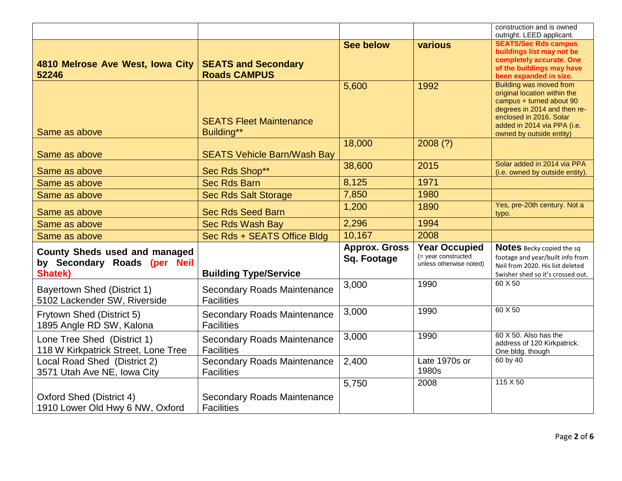|                                                                                 |                                                         |                                     |                                                                        | construction and is owned<br>outright. LEED applicant.                                                                                                                                                           |
|---------------------------------------------------------------------------------|---------------------------------------------------------|-------------------------------------|------------------------------------------------------------------------|------------------------------------------------------------------------------------------------------------------------------------------------------------------------------------------------------------------|
| 4810 Melrose Ave West, Iowa City<br>52246                                       | <b>SEATS and Secondary</b><br><b>Roads CAMPUS</b>       | <b>See below</b>                    | various                                                                | <b>SEATS/Sec Rds campus</b><br>buildings list may not be<br>completely accurate. One<br>of the buildings may have<br>been expanded in size.                                                                      |
| Same as above                                                                   | <b>SEATS Fleet Maintenance</b><br>Building**            | 5,600                               | 1992                                                                   | <b>Building was moved from</b><br>original location within the<br>campus + turned about 90<br>degrees in 2014 and then re-<br>enclosed in 2016. Solar<br>added in 2014 via PPA (i.e.<br>owned by outside entity) |
| Same as above                                                                   | <b>SEATS Vehicle Barn/Wash Bay</b>                      | 18,000                              | 2008(?)                                                                |                                                                                                                                                                                                                  |
| Same as above                                                                   | Sec Rds Shop**                                          | 38,600                              | 2015                                                                   | Solar added in 2014 via PPA<br>(i.e. owned by outside entity).                                                                                                                                                   |
| Same as above                                                                   | <b>Sec Rds Barn</b>                                     | 8,125                               | 1971                                                                   |                                                                                                                                                                                                                  |
| Same as above                                                                   | <b>Sec Rds Salt Storage</b>                             | 7,850                               | 1980                                                                   |                                                                                                                                                                                                                  |
| Same as above                                                                   | <b>Sec Rds Seed Barn</b>                                | 1,200                               | 1890                                                                   | Yes, pre-20th century. Not a<br>typo.                                                                                                                                                                            |
| Same as above                                                                   | Sec Rds Wash Bay                                        | 2,296                               | 1994                                                                   |                                                                                                                                                                                                                  |
| Same as above                                                                   | Sec Rds + SEATS Office Bldg                             | 10,167                              | 2008                                                                   |                                                                                                                                                                                                                  |
| <b>County Sheds used and managed</b><br>by Secondary Roads (per Neil<br>Shatek) | <b>Building Type/Service</b>                            | <b>Approx. Gross</b><br>Sq. Footage | <b>Year Occupied</b><br>(= year constructed<br>unless otherwise noted) | Notes Becky copied the sq<br>footage and year/built info from<br>Neil from 2020. His list deleted<br>Swisher shed so it's crossed out.                                                                           |
| <b>Bayertown Shed (District 1)</b><br>5102 Lackender SW, Riverside              | <b>Secondary Roads Maintenance</b><br><b>Facilities</b> | 3,000                               | 1990                                                                   | 60 X 50                                                                                                                                                                                                          |
| Frytown Shed (District 5)<br>1895 Angle RD SW, Kalona                           | <b>Secondary Roads Maintenance</b><br><b>Facilities</b> | 3,000                               | 1990                                                                   | 60 X 50                                                                                                                                                                                                          |
| Lone Tree Shed (District 1)<br>118 W Kirkpatrick Street, Lone Tree              | Secondary Roads Maintenance<br><b>Facilities</b>        | 3,000                               | 1990                                                                   | 60 X 50. Also has the<br>address of 120 Kirkpatrick.<br>One bldg. though                                                                                                                                         |
| Local Road Shed (District 2)<br>3571 Utah Ave NE, Iowa City                     | <b>Secondary Roads Maintenance</b><br><b>Facilities</b> | 2,400                               | Late 1970s or<br>1980s                                                 | 60 by 40                                                                                                                                                                                                         |
| Oxford Shed (District 4)<br>1910 Lower Old Hwy 6 NW, Oxford                     | <b>Secondary Roads Maintenance</b><br><b>Facilities</b> | 5,750                               | 2008                                                                   | $115 \times 50$                                                                                                                                                                                                  |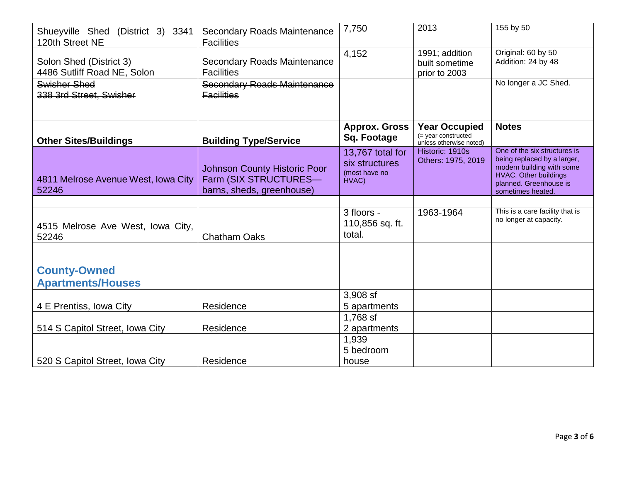| Shueyville Shed (District 3) 3341<br>120th Street NE   | Secondary Roads Maintenance<br><b>Facilities</b>                                          | 7,750                                                        | 2013                                                                      | 155 by 50                                                                                                                                                               |
|--------------------------------------------------------|-------------------------------------------------------------------------------------------|--------------------------------------------------------------|---------------------------------------------------------------------------|-------------------------------------------------------------------------------------------------------------------------------------------------------------------------|
| Solon Shed (District 3)<br>4486 Sutliff Road NE, Solon | Secondary Roads Maintenance<br><b>Facilities</b>                                          | 4,152                                                        | 1991; addition<br>built sometime<br>prior to 2003                         | Original: 60 by 50<br>Addition: 24 by 48                                                                                                                                |
| Swisher Shed<br>338 3rd Street, Swisher                | <b>Secondary Roads Maintenance</b><br><b>Facilities</b>                                   |                                                              |                                                                           | No longer a JC Shed.                                                                                                                                                    |
|                                                        |                                                                                           |                                                              |                                                                           |                                                                                                                                                                         |
| <b>Other Sites/Buildings</b>                           | <b>Building Type/Service</b>                                                              | <b>Approx. Gross</b><br>Sq. Footage                          | <b>Year Occupied</b><br>$($ = year constructed<br>unless otherwise noted) | <b>Notes</b>                                                                                                                                                            |
| 4811 Melrose Avenue West, Iowa City<br>52246           | <b>Johnson County Historic Poor</b><br>Farm (SIX STRUCTURES-<br>barns, sheds, greenhouse) | 13,767 total for<br>six structures<br>(most have no<br>HVAC) | Historic: 1910s<br>Others: 1975, 2019                                     | One of the six structures is<br>being replaced by a larger,<br>modern building with some<br><b>HVAC.</b> Other buildings<br>planned. Greenhouse is<br>sometimes heated. |
|                                                        |                                                                                           |                                                              |                                                                           |                                                                                                                                                                         |
| 4515 Melrose Ave West, Iowa City,<br>52246             | <b>Chatham Oaks</b>                                                                       | 3 floors -<br>110,856 sq. ft.<br>total.                      | 1963-1964                                                                 | This is a care facility that is<br>no longer at capacity.                                                                                                               |
|                                                        |                                                                                           |                                                              |                                                                           |                                                                                                                                                                         |
| <b>County-Owned</b><br><b>Apartments/Houses</b>        |                                                                                           |                                                              |                                                                           |                                                                                                                                                                         |
|                                                        |                                                                                           | 3,908 sf                                                     |                                                                           |                                                                                                                                                                         |
| 4 E Prentiss, Iowa City                                | Residence                                                                                 | 5 apartments                                                 |                                                                           |                                                                                                                                                                         |
| 514 S Capitol Street, Iowa City                        | Residence                                                                                 | 1,768 sf<br>2 apartments                                     |                                                                           |                                                                                                                                                                         |
|                                                        |                                                                                           | 1,939                                                        |                                                                           |                                                                                                                                                                         |
|                                                        |                                                                                           | 5 bedroom                                                    |                                                                           |                                                                                                                                                                         |
| 520 S Capitol Street, Iowa City                        | Residence                                                                                 | house                                                        |                                                                           |                                                                                                                                                                         |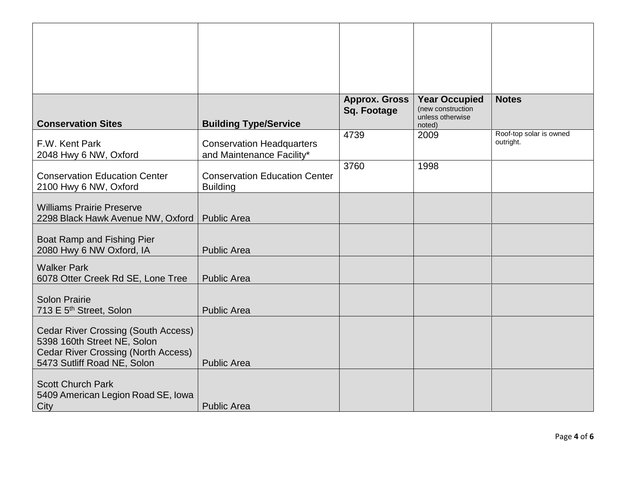| <b>Conservation Sites</b>                                                                                                                              | <b>Building Type/Service</b>                                  | <b>Approx. Gross</b><br><b>Sq. Footage</b> | <b>Year Occupied</b><br>(new construction<br>unless otherwise<br>noted) | <b>Notes</b>                         |
|--------------------------------------------------------------------------------------------------------------------------------------------------------|---------------------------------------------------------------|--------------------------------------------|-------------------------------------------------------------------------|--------------------------------------|
| F.W. Kent Park<br>2048 Hwy 6 NW, Oxford                                                                                                                | <b>Conservation Headquarters</b><br>and Maintenance Facility* | 4739                                       | 2009                                                                    | Roof-top solar is owned<br>outright. |
| <b>Conservation Education Center</b><br>2100 Hwy 6 NW, Oxford                                                                                          | <b>Conservation Education Center</b><br><b>Building</b>       | 3760                                       | 1998                                                                    |                                      |
| <b>Williams Prairie Preserve</b><br>2298 Black Hawk Avenue NW, Oxford                                                                                  | <b>Public Area</b>                                            |                                            |                                                                         |                                      |
| Boat Ramp and Fishing Pier<br>2080 Hwy 6 NW Oxford, IA                                                                                                 | <b>Public Area</b>                                            |                                            |                                                                         |                                      |
| <b>Walker Park</b><br>6078 Otter Creek Rd SE, Lone Tree                                                                                                | <b>Public Area</b>                                            |                                            |                                                                         |                                      |
| <b>Solon Prairie</b><br>713 E 5 <sup>th</sup> Street, Solon                                                                                            | <b>Public Area</b>                                            |                                            |                                                                         |                                      |
| <b>Cedar River Crossing (South Access)</b><br>5398 160th Street NE, Solon<br><b>Cedar River Crossing (North Access)</b><br>5473 Sutliff Road NE, Solon | <b>Public Area</b>                                            |                                            |                                                                         |                                      |
| <b>Scott Church Park</b><br>5409 American Legion Road SE, Iowa<br>City                                                                                 | <b>Public Area</b>                                            |                                            |                                                                         |                                      |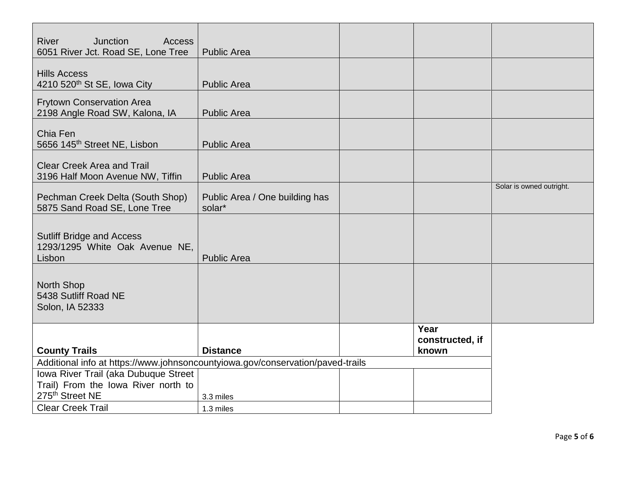| <b>Junction</b><br><b>River</b><br>Access<br>6051 River Jct. Road SE, Lone Tree | <b>Public Area</b>                       |                                  |                          |
|---------------------------------------------------------------------------------|------------------------------------------|----------------------------------|--------------------------|
| <b>Hills Access</b><br>4210 520 <sup>th</sup> St SE, Iowa City                  | <b>Public Area</b>                       |                                  |                          |
| <b>Frytown Conservation Area</b><br>2198 Angle Road SW, Kalona, IA              | <b>Public Area</b>                       |                                  |                          |
| Chia Fen<br>5656 145 <sup>th</sup> Street NE, Lisbon                            | <b>Public Area</b>                       |                                  |                          |
| <b>Clear Creek Area and Trail</b><br>3196 Half Moon Avenue NW, Tiffin           | <b>Public Area</b>                       |                                  |                          |
| Pechman Creek Delta (South Shop)<br>5875 Sand Road SE, Lone Tree                | Public Area / One building has<br>solar* |                                  | Solar is owned outright. |
| <b>Sutliff Bridge and Access</b><br>1293/1295 White Oak Avenue NE,<br>Lisbon    | <b>Public Area</b>                       |                                  |                          |
| <b>North Shop</b><br>5438 Sutliff Road NE<br>Solon, IA 52333                    |                                          |                                  |                          |
| <b>County Trails</b>                                                            | <b>Distance</b>                          | Year<br>constructed, if<br>known |                          |
| Additional info at https://www.johnsoncountyiowa.gov/conservation/paved-trails  |                                          |                                  |                          |
| Iowa River Trail (aka Dubuque Street                                            |                                          |                                  |                          |
| Trail) From the Iowa River north to                                             |                                          |                                  |                          |
| 275 <sup>th</sup> Street NE                                                     | 3.3 miles                                |                                  |                          |
| <b>Clear Creek Trail</b>                                                        | 1.3 miles                                |                                  |                          |